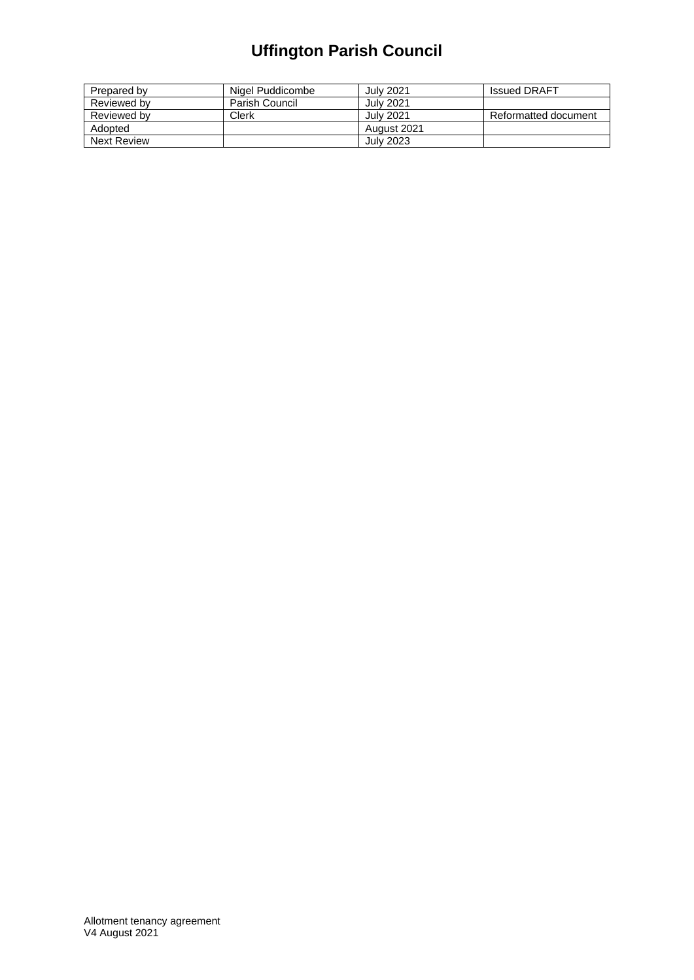| Prepared by | Nigel Puddicombe      | <b>July 2021</b> | <b>Issued DRAFT</b>  |
|-------------|-----------------------|------------------|----------------------|
| Reviewed by | <b>Parish Council</b> | <b>July 2021</b> |                      |
| Reviewed by | Clerk                 | <b>July 2021</b> | Reformatted document |
| Adopted     |                       | August 2021      |                      |
| Next Review |                       | July 2023        |                      |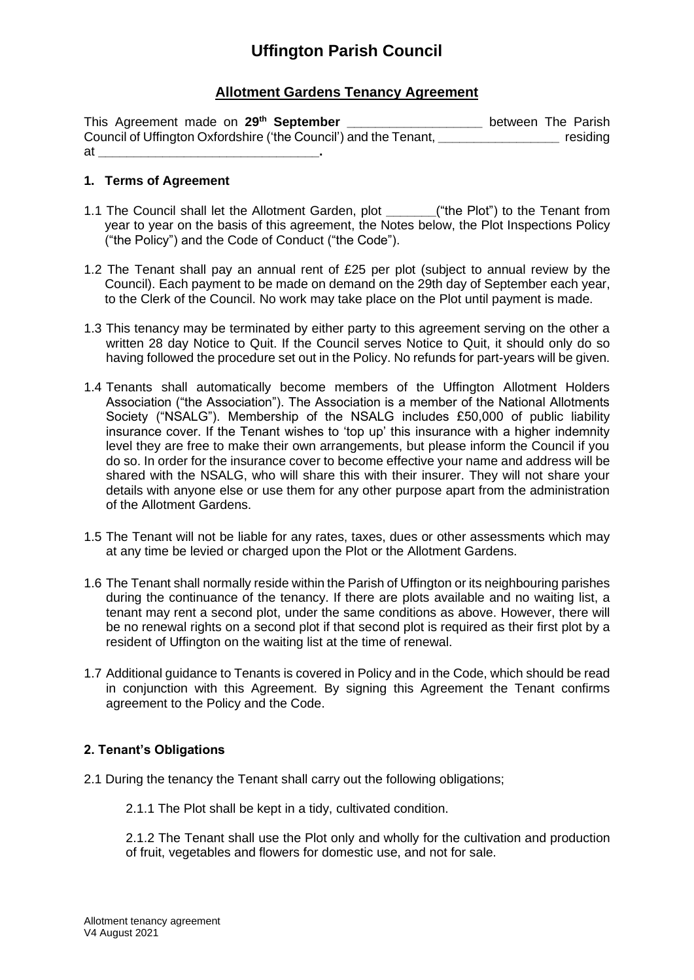## **Allotment Gardens Tenancy Agreement**

This Agreement made on **29th September \_\_\_\_\_\_\_\_\_\_\_\_\_\_\_\_\_\_\_** between The Parish Council of Uffington Oxfordshire ('the Council') and the Tenant, **\_\_\_\_\_\_\_\_\_\_\_\_\_\_\_\_\_** residing at **\_\_\_\_\_\_\_\_\_\_\_\_\_\_\_\_\_\_\_\_\_\_\_\_\_\_\_\_\_\_\_.**

#### **1. Terms of Agreement**

- 1.1 The Council shall let the Allotment Garden, plot **\_\_\_\_\_\_\_**("the Plot") to the Tenant from year to year on the basis of this agreement, the Notes below, the Plot Inspections Policy ("the Policy") and the Code of Conduct ("the Code").
- 1.2 The Tenant shall pay an annual rent of £25 per plot (subject to annual review by the Council). Each payment to be made on demand on the 29th day of September each year, to the Clerk of the Council. No work may take place on the Plot until payment is made.
- 1.3 This tenancy may be terminated by either party to this agreement serving on the other a written 28 day Notice to Quit. If the Council serves Notice to Quit, it should only do so having followed the procedure set out in the Policy. No refunds for part-years will be given.
- 1.4 Tenants shall automatically become members of the Uffington Allotment Holders Association ("the Association"). The Association is a member of the National Allotments Society ("NSALG"). Membership of the NSALG includes £50,000 of public liability insurance cover. If the Tenant wishes to 'top up' this insurance with a higher indemnity level they are free to make their own arrangements, but please inform the Council if you do so. In order for the insurance cover to become effective your name and address will be shared with the NSALG, who will share this with their insurer. They will not share your details with anyone else or use them for any other purpose apart from the administration of the Allotment Gardens.
- 1.5 The Tenant will not be liable for any rates, taxes, dues or other assessments which may at any time be levied or charged upon the Plot or the Allotment Gardens.
- 1.6 The Tenant shall normally reside within the Parish of Uffington or its neighbouring parishes during the continuance of the tenancy. If there are plots available and no waiting list, a tenant may rent a second plot, under the same conditions as above. However, there will be no renewal rights on a second plot if that second plot is required as their first plot by a resident of Uffington on the waiting list at the time of renewal.
- 1.7 Additional guidance to Tenants is covered in Policy and in the Code, which should be read in conjunction with this Agreement. By signing this Agreement the Tenant confirms agreement to the Policy and the Code.

### **2. Tenant's Obligations**

- 2.1 During the tenancy the Tenant shall carry out the following obligations;
	- 2.1.1 The Plot shall be kept in a tidy, cultivated condition.

2.1.2 The Tenant shall use the Plot only and wholly for the cultivation and production of fruit, vegetables and flowers for domestic use, and not for sale.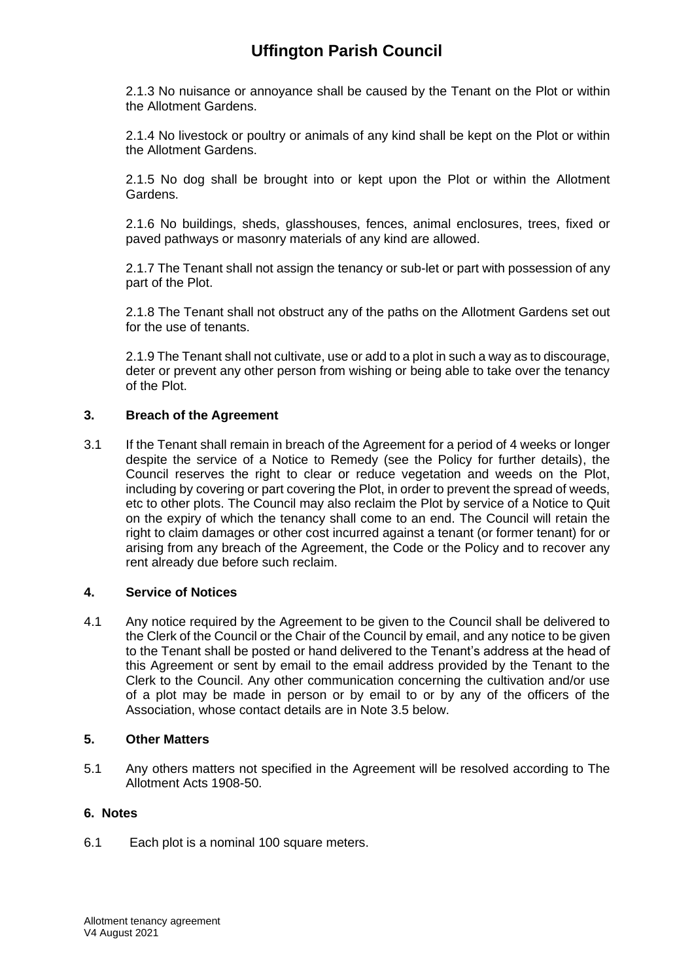2.1.3 No nuisance or annoyance shall be caused by the Tenant on the Plot or within the Allotment Gardens.

2.1.4 No livestock or poultry or animals of any kind shall be kept on the Plot or within the Allotment Gardens.

2.1.5 No dog shall be brought into or kept upon the Plot or within the Allotment Gardens.

2.1.6 No buildings, sheds, glasshouses, fences, animal enclosures, trees, fixed or paved pathways or masonry materials of any kind are allowed.

2.1.7 The Tenant shall not assign the tenancy or sub-let or part with possession of any part of the Plot.

2.1.8 The Tenant shall not obstruct any of the paths on the Allotment Gardens set out for the use of tenants.

2.1.9 The Tenant shall not cultivate, use or add to a plot in such a way as to discourage, deter or prevent any other person from wishing or being able to take over the tenancy of the Plot.

#### **3. Breach of the Agreement**

3.1 If the Tenant shall remain in breach of the Agreement for a period of 4 weeks or longer despite the service of a Notice to Remedy (see the Policy for further details), the Council reserves the right to clear or reduce vegetation and weeds on the Plot, including by covering or part covering the Plot, in order to prevent the spread of weeds, etc to other plots. The Council may also reclaim the Plot by service of a Notice to Quit on the expiry of which the tenancy shall come to an end. The Council will retain the right to claim damages or other cost incurred against a tenant (or former tenant) for or arising from any breach of the Agreement, the Code or the Policy and to recover any rent already due before such reclaim.

#### **4. Service of Notices**

4.1 Any notice required by the Agreement to be given to the Council shall be delivered to the Clerk of the Council or the Chair of the Council by email, and any notice to be given to the Tenant shall be posted or hand delivered to the Tenant's address at the head of this Agreement or sent by email to the email address provided by the Tenant to the Clerk to the Council. Any other communication concerning the cultivation and/or use of a plot may be made in person or by email to or by any of the officers of the Association, whose contact details are in Note 3.5 below.

#### **5. Other Matters**

5.1 Any others matters not specified in the Agreement will be resolved according to The Allotment Acts 1908-50.

#### **6. Notes**

6.1 Each plot is a nominal 100 square meters.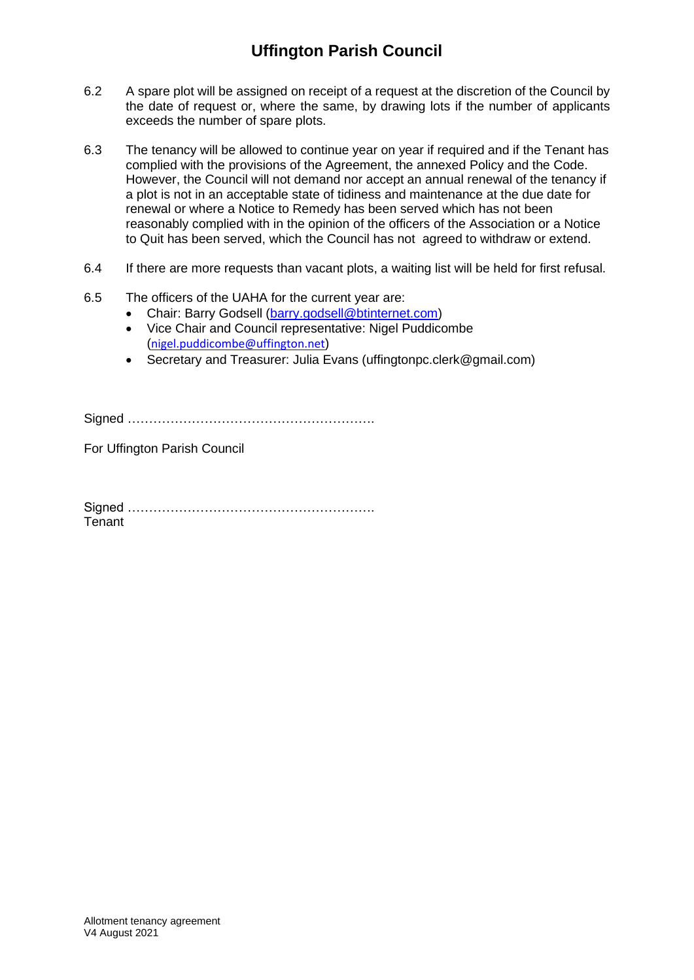- 6.2 A spare plot will be assigned on receipt of a request at the discretion of the Council by the date of request or, where the same, by drawing lots if the number of applicants exceeds the number of spare plots.
- 6.3 The tenancy will be allowed to continue year on year if required and if the Tenant has complied with the provisions of the Agreement, the annexed Policy and the Code. However, the Council will not demand nor accept an annual renewal of the tenancy if a plot is not in an acceptable state of tidiness and maintenance at the due date for renewal or where a Notice to Remedy has been served which has not been reasonably complied with in the opinion of the officers of the Association or a Notice to Quit has been served, which the Council has not agreed to withdraw or extend.
- 6.4 If there are more requests than vacant plots, a waiting list will be held for first refusal.
- 6.5 The officers of the UAHA for the current year are:
	- Chair: Barry Godsell [\(barry.godsell@btinternet.com\)](mailto:barry.godsell@btinternet.com)
	- Vice Chair and Council representative: Nigel Puddicombe ([nigel.puddicombe@uffington.net](mailto:nigel.puddicombe@uffington.net))
	- Secretary and Treasurer: Julia Evans (uffingtonpc.clerk@gmail.com)

Signed ………………………………………………….

For Uffington Parish Council

Signed …………………………………………………. **Tenant**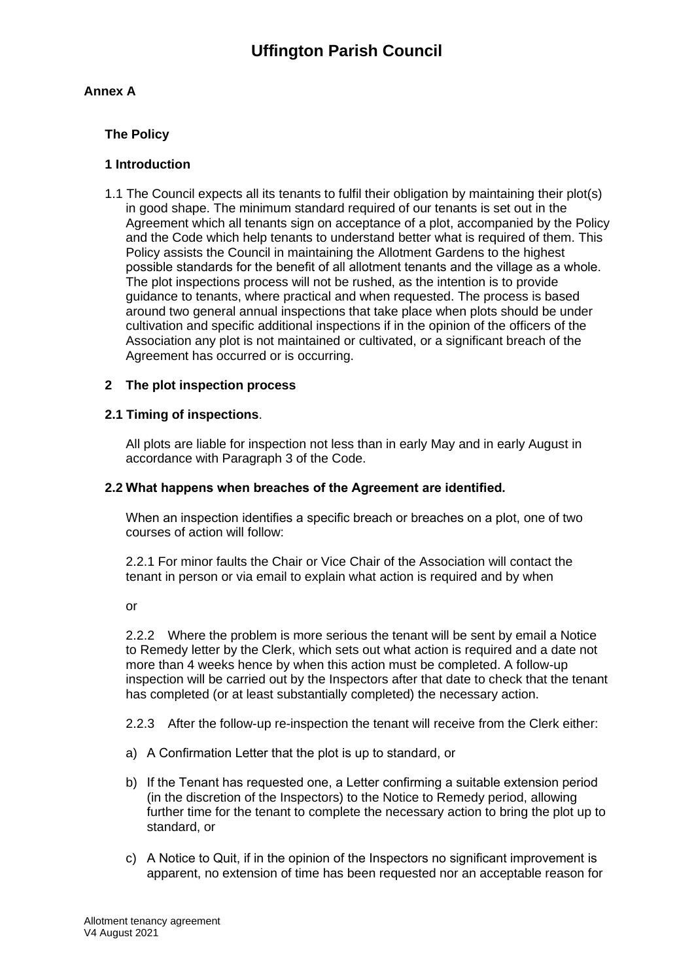### **Annex A**

### **The Policy**

#### **1 Introduction**

1.1 The Council expects all its tenants to fulfil their obligation by maintaining their plot(s) in good shape. The minimum standard required of our tenants is set out in the Agreement which all tenants sign on acceptance of a plot, accompanied by the Policy and the Code which help tenants to understand better what is required of them. This Policy assists the Council in maintaining the Allotment Gardens to the highest possible standards for the benefit of all allotment tenants and the village as a whole. The plot inspections process will not be rushed, as the intention is to provide guidance to tenants, where practical and when requested. The process is based around two general annual inspections that take place when plots should be under cultivation and specific additional inspections if in the opinion of the officers of the Association any plot is not maintained or cultivated, or a significant breach of the Agreement has occurred or is occurring.

#### **2 The plot inspection process**

#### **2.1 Timing of inspections**.

All plots are liable for inspection not less than in early May and in early August in accordance with Paragraph 3 of the Code.

#### **2.2 What happens when breaches of the Agreement are identified.**

When an inspection identifies a specific breach or breaches on a plot, one of two courses of action will follow:

2.2.1 For minor faults the Chair or Vice Chair of the Association will contact the tenant in person or via email to explain what action is required and by when

or

2.2.2 Where the problem is more serious the tenant will be sent by email a Notice to Remedy letter by the Clerk, which sets out what action is required and a date not more than 4 weeks hence by when this action must be completed. A follow-up inspection will be carried out by the Inspectors after that date to check that the tenant has completed (or at least substantially completed) the necessary action.

2.2.3 After the follow-up re-inspection the tenant will receive from the Clerk either:

- a) A Confirmation Letter that the plot is up to standard, or
- b) If the Tenant has requested one, a Letter confirming a suitable extension period (in the discretion of the Inspectors) to the Notice to Remedy period, allowing further time for the tenant to complete the necessary action to bring the plot up to standard, or
- c) A Notice to Quit, if in the opinion of the Inspectors no significant improvement is apparent, no extension of time has been requested nor an acceptable reason for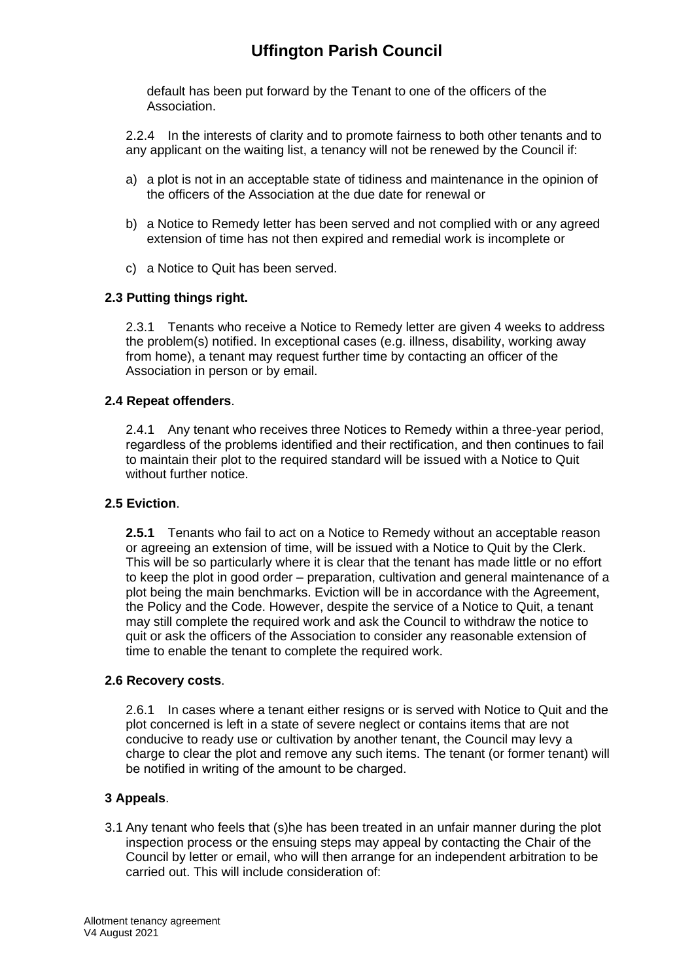default has been put forward by the Tenant to one of the officers of the Association.

2.2.4 In the interests of clarity and to promote fairness to both other tenants and to any applicant on the waiting list, a tenancy will not be renewed by the Council if:

- a) a plot is not in an acceptable state of tidiness and maintenance in the opinion of the officers of the Association at the due date for renewal or
- b) a Notice to Remedy letter has been served and not complied with or any agreed extension of time has not then expired and remedial work is incomplete or
- c) a Notice to Quit has been served.

#### **2.3 Putting things right.**

2.3.1 Tenants who receive a Notice to Remedy letter are given 4 weeks to address the problem(s) notified. In exceptional cases (e.g. illness, disability, working away from home), a tenant may request further time by contacting an officer of the Association in person or by email.

#### **2.4 Repeat offenders**.

2.4.1 Any tenant who receives three Notices to Remedy within a three-year period, regardless of the problems identified and their rectification, and then continues to fail to maintain their plot to the required standard will be issued with a Notice to Quit without further notice.

#### **2.5 Eviction**.

**2.5.1** Tenants who fail to act on a Notice to Remedy without an acceptable reason or agreeing an extension of time, will be issued with a Notice to Quit by the Clerk. This will be so particularly where it is clear that the tenant has made little or no effort to keep the plot in good order – preparation, cultivation and general maintenance of a plot being the main benchmarks. Eviction will be in accordance with the Agreement, the Policy and the Code. However, despite the service of a Notice to Quit, a tenant may still complete the required work and ask the Council to withdraw the notice to quit or ask the officers of the Association to consider any reasonable extension of time to enable the tenant to complete the required work.

#### **2.6 Recovery costs**.

2.6.1 In cases where a tenant either resigns or is served with Notice to Quit and the plot concerned is left in a state of severe neglect or contains items that are not conducive to ready use or cultivation by another tenant, the Council may levy a charge to clear the plot and remove any such items. The tenant (or former tenant) will be notified in writing of the amount to be charged.

#### **3 Appeals**.

3.1 Any tenant who feels that (s)he has been treated in an unfair manner during the plot inspection process or the ensuing steps may appeal by contacting the Chair of the Council by letter or email, who will then arrange for an independent arbitration to be carried out. This will include consideration of: